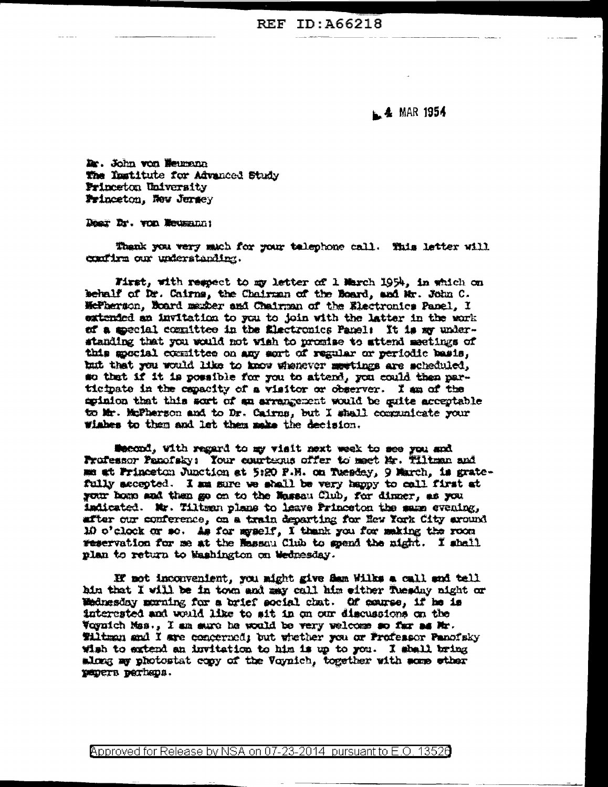L. 4 MAR 1954

Dr. John von Heumann The Institute for Advanced Study Princeton University Frinceton, New Jersey

Deer Dr. von Weusman:

Thank you very much for your telephone call. This letter will confirm our understanding.

First, with respect to my letter of 1 March 1954, in which on behalf of Dr. Cairns, the Chairman of the Board, and Mr. John C. McFherson, Board maxber and Chairman of the Electronics Panel, I extended an invitation to you to join with the latter in the work ef a special committee in the Electronics Panel: It is my understanding that you would not wish to promise to attend meetings of this special consittee on any sort of regular or periodic basis, but that you would like to know whenever meetings are scheduled. so that if it is possible for you to attend, you could then participate in the expacity of a visitor or observer. I am of the eginion that this sort of an arrangement would be guite acceptable to Mr. McFherson and to Dr. Cairns, but I shall communicate your viabes to them and let them make the decision.

Mecond, with regard to my visit next week to see you and Professor Panofaky: Your courtenus offer to mact Mr. Tiltman and me at Princeton Junction at 5:20 P.M. on Tuesday, 9 March, is gratefully accepted. I am sure we shall be very happy to call first at your home and then go on to the Massau Club. for dinner, as you indicated. Mr. Tiltman plane to leave Princeton the mann evening, after our conference, on a train departing for New York City around 10 o'clock or so. As for myself, I thank you for making the room reservation for me at the Massau Club to spend the night. I shall plan to return to Mashington on Wednesday.

If not inconvenient, you might give flam Wilks a call and tell hin that I will be in town and any call him either fuesday night or Wednesday murning for a brief social chat. Of course, if he is interested and would like to sit in on our discussions on the Voynich Mes., I am sure he would be very welcome so far as Mr. Tiltman and I are concerned; but whether you or Professor Panofsky wish to extend an invitation to him is up to you. I shall bring along my photostat copy of the Voynich, together with some ether papers perhaps.

Approved for Release by NSA on 07-23-2014 pursuant to E.O. 13520